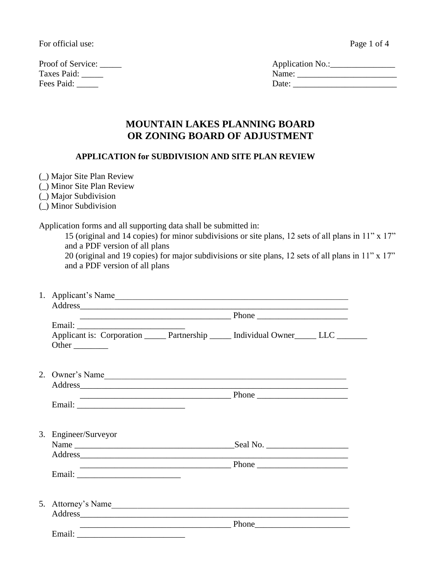For official use:

Proof of Service: \_\_\_\_\_ Application No.:\_\_\_\_\_\_\_\_\_\_\_\_\_\_\_ Taxes Paid: \_\_\_\_\_ Name: \_\_\_\_\_\_\_\_\_\_\_\_\_\_\_\_\_\_\_\_\_\_\_ Fees Paid: \_\_\_\_\_ Date: \_\_\_\_\_\_\_\_\_\_\_\_\_\_\_\_\_\_\_\_\_\_\_\_

| Page 1 of 4 |  |  |  |
|-------------|--|--|--|
|-------------|--|--|--|

| Application No.: |  |
|------------------|--|
| Name:            |  |
| Date:            |  |

# **MOUNTAIN LAKES PLANNING BOARD OR ZONING BOARD OF ADJUSTMENT**

## **APPLICATION for SUBDIVISION AND SITE PLAN REVIEW**

- (\_) Major Site Plan Review
- (\_) Minor Site Plan Review
- (\_) Major Subdivision
- (\_) Minor Subdivision

Application forms and all supporting data shall be submitted in:

15 (original and 14 copies) for minor subdivisions or site plans, 12 sets of all plans in 11" x 17" and a PDF version of all plans

20 (original and 19 copies) for major subdivisions or site plans, 12 sets of all plans in 11" x 17" and a PDF version of all plans

| 1. Applicant's Name                                                                                                                                                                                                                 |  |  |
|-------------------------------------------------------------------------------------------------------------------------------------------------------------------------------------------------------------------------------------|--|--|
|                                                                                                                                                                                                                                     |  |  |
|                                                                                                                                                                                                                                     |  |  |
|                                                                                                                                                                                                                                     |  |  |
| Applicant is: Corporation ______ Partnership ______ Individual Owner ______ LLC _______                                                                                                                                             |  |  |
| Other                                                                                                                                                                                                                               |  |  |
| 2. Owner's Name                                                                                                                                                                                                                     |  |  |
| Address and the contract of the contract of the contract of the contract of the contract of the contract of the contract of the contract of the contract of the contract of the contract of the contract of the contract of th      |  |  |
|                                                                                                                                                                                                                                     |  |  |
|                                                                                                                                                                                                                                     |  |  |
|                                                                                                                                                                                                                                     |  |  |
|                                                                                                                                                                                                                                     |  |  |
| 3. Engineer/Surveyor                                                                                                                                                                                                                |  |  |
|                                                                                                                                                                                                                                     |  |  |
| Address                                                                                                                                                                                                                             |  |  |
|                                                                                                                                                                                                                                     |  |  |
|                                                                                                                                                                                                                                     |  |  |
|                                                                                                                                                                                                                                     |  |  |
|                                                                                                                                                                                                                                     |  |  |
| 5. Attorney's Name                                                                                                                                                                                                                  |  |  |
| <u>Phone</u> Phone 2008 Phone 2008 Phone 2008 Phone 2008 Phone 2008 Phone 2008 Phone 2008 Phone 2008 Phone 2008 Phone 2008 Phone 2008 Phone 2008 Phone 2008 Phone 2008 Phone 2008 Phone 2008 Phone 2008 Phone 2008 Phone 2008 Phone |  |  |
|                                                                                                                                                                                                                                     |  |  |
|                                                                                                                                                                                                                                     |  |  |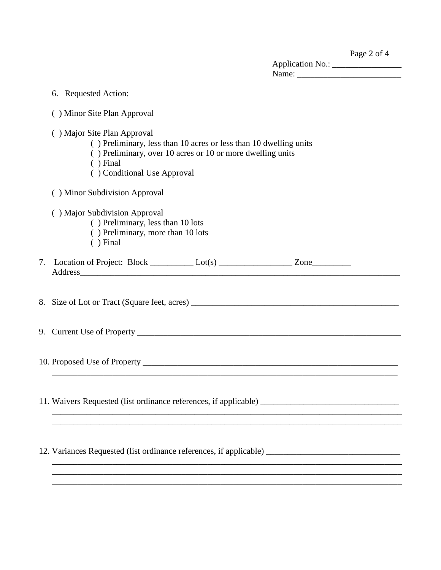|                         | Page 2 of 4 |
|-------------------------|-------------|
| <b>Application No.:</b> |             |

| .<br>__ |  |  |
|---------|--|--|
| Name:   |  |  |
|         |  |  |

| 6. Requested Action:                                                                                                                                                                                                                                                                                                      |
|---------------------------------------------------------------------------------------------------------------------------------------------------------------------------------------------------------------------------------------------------------------------------------------------------------------------------|
| () Minor Site Plan Approval                                                                                                                                                                                                                                                                                               |
| () Major Site Plan Approval<br>() Preliminary, less than 10 acres or less than 10 dwelling units<br>() Preliminary, over 10 acres or 10 or more dwelling units<br>$( )$ Final<br>() Conditional Use Approval                                                                                                              |
| () Minor Subdivision Approval                                                                                                                                                                                                                                                                                             |
| () Major Subdivision Approval<br>() Preliminary, less than 10 lots<br>() Preliminary, more than 10 lots<br>$( )$ Final                                                                                                                                                                                                    |
| 7. Location of Project: Block __________ Lot(s) _____________________ Zone_____________<br>Address and the contract of the contract of the contract of the contract of the contract of the contract of the contract of the contract of the contract of the contract of the contract of the contract of the contract of th |
|                                                                                                                                                                                                                                                                                                                           |
|                                                                                                                                                                                                                                                                                                                           |
|                                                                                                                                                                                                                                                                                                                           |
| 11. Waivers Requested (list ordinance references, if applicable) ___________________________________                                                                                                                                                                                                                      |
| 12. Variances Requested (list ordinance references, if applicable)                                                                                                                                                                                                                                                        |
|                                                                                                                                                                                                                                                                                                                           |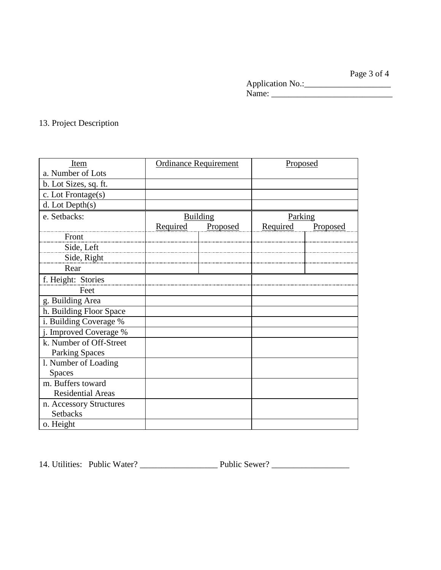Page 3 of 4 Application No.:\_\_\_\_\_\_\_\_\_\_\_\_\_\_\_\_\_\_\_\_ Name: \_\_\_\_\_\_\_\_\_\_\_\_\_\_\_\_\_\_\_\_\_\_\_\_\_\_\_\_

## 13. Project Description

| Item                     |          | <b>Ordinance Requirement</b> | Proposed |          |
|--------------------------|----------|------------------------------|----------|----------|
| a. Number of Lots        |          |                              |          |          |
| b. Lot Sizes, sq. ft.    |          |                              |          |          |
| c. Lot Frontage(s)       |          |                              |          |          |
| $d.$ Lot Depth $(s)$     |          |                              |          |          |
| e. Setbacks:             |          | Building                     | Parking  |          |
|                          | Required | Proposed                     | Required | Proposed |
| Front                    |          |                              |          |          |
| Side, Left               |          |                              |          |          |
| Side, Right              |          |                              |          |          |
| Rear                     |          |                              |          |          |
| f. Height: Stories       |          |                              |          |          |
| Feet                     |          |                              |          |          |
| g. Building Area         |          |                              |          |          |
| h. Building Floor Space  |          |                              |          |          |
| i. Building Coverage %   |          |                              |          |          |
| j. Improved Coverage %   |          |                              |          |          |
| k. Number of Off-Street  |          |                              |          |          |
| <b>Parking Spaces</b>    |          |                              |          |          |
| l. Number of Loading     |          |                              |          |          |
| <b>Spaces</b>            |          |                              |          |          |
| m. Buffers toward        |          |                              |          |          |
| <b>Residential Areas</b> |          |                              |          |          |
| n. Accessory Structures  |          |                              |          |          |
| <b>Setbacks</b>          |          |                              |          |          |
| o. Height                |          |                              |          |          |

14. Utilities: Public Water? \_\_\_\_\_\_\_\_\_\_\_\_\_\_\_\_\_\_ Public Sewer? \_\_\_\_\_\_\_\_\_\_\_\_\_\_\_\_\_\_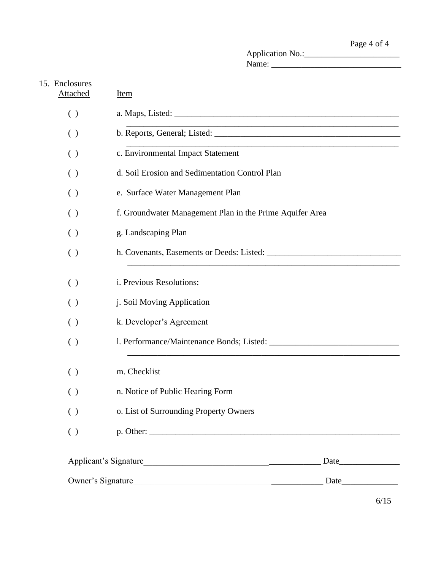Application No.:\_\_\_\_\_\_\_\_\_\_\_\_\_\_\_\_\_\_\_\_\_\_ Name: \_\_\_\_\_\_\_\_\_\_\_\_\_\_\_\_\_\_\_\_\_\_\_\_\_\_\_\_\_\_

| 15. Enclosures<br><b>Attached</b>             | <b>Item</b>                                                        |  |  |  |  |  |
|-----------------------------------------------|--------------------------------------------------------------------|--|--|--|--|--|
| $\left( \ \right)$                            |                                                                    |  |  |  |  |  |
| ( )                                           | <u> 1989 - Johann Barbara, margaret eta biztanleria (h. 1989).</u> |  |  |  |  |  |
| ( )                                           | c. Environmental Impact Statement                                  |  |  |  |  |  |
| ( )                                           | d. Soil Erosion and Sedimentation Control Plan                     |  |  |  |  |  |
| ( )                                           | e. Surface Water Management Plan                                   |  |  |  |  |  |
| ( )                                           | f. Groundwater Management Plan in the Prime Aquifer Area           |  |  |  |  |  |
| ( )                                           | g. Landscaping Plan                                                |  |  |  |  |  |
| $\left( \begin{array}{c} \end{array} \right)$ |                                                                    |  |  |  |  |  |
| ( )                                           | i. Previous Resolutions:                                           |  |  |  |  |  |
| ( )                                           | j. Soil Moving Application                                         |  |  |  |  |  |
| ( )                                           | k. Developer's Agreement                                           |  |  |  |  |  |
| ( )                                           |                                                                    |  |  |  |  |  |
| ( )                                           | m. Checklist                                                       |  |  |  |  |  |
| ( )                                           | n. Notice of Public Hearing Form                                   |  |  |  |  |  |
| $\left( \ \right)$                            | o. List of Surrounding Property Owners                             |  |  |  |  |  |
| ( )                                           |                                                                    |  |  |  |  |  |
|                                               | Date                                                               |  |  |  |  |  |
| Owner's Signature                             | <u> 1989 - Johann Stein, mars an de Brandenburg (b. 1989)</u>      |  |  |  |  |  |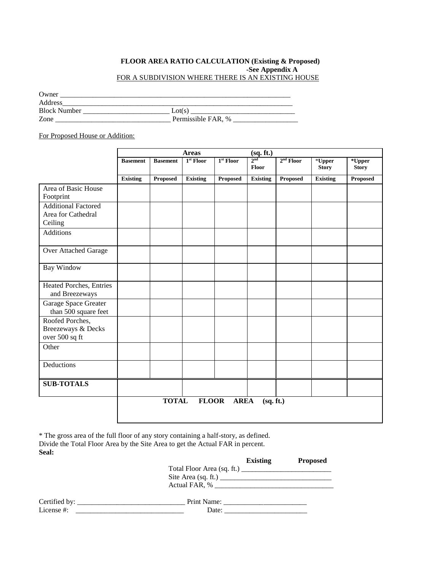#### **FLOOR AREA RATIO CALCULATION (Existing & Proposed) -See Appendix A** FOR A SUBDIVISION WHERE THERE IS AN EXISTING HOUSE

| Owner               |                    |
|---------------------|--------------------|
| Address             |                    |
| <b>Block Number</b> | Lot(s)             |
| Zone                | Permissible FAR, % |

For Proposed House or Addition:

|                                                             |                 |                 | <b>Areas</b>    |                       | (sq. ft.)                |                 |                           |                        |
|-------------------------------------------------------------|-----------------|-----------------|-----------------|-----------------------|--------------------------|-----------------|---------------------------|------------------------|
|                                                             | <b>Basement</b> | <b>Basement</b> | $1st$ Floor     | 1 <sup>st</sup> Floor | 2 <sub>nd</sub><br>Floor | $2nd$ Floor     | $*$ Upper<br><b>Story</b> | *Upper<br><b>Story</b> |
|                                                             | <b>Existing</b> | <b>Proposed</b> | <b>Existing</b> | <b>Proposed</b>       | <b>Existing</b>          | <b>Proposed</b> | <b>Existing</b>           | <b>Proposed</b>        |
| Area of Basic House<br>Footprint                            |                 |                 |                 |                       |                          |                 |                           |                        |
| <b>Additional Factored</b><br>Area for Cathedral<br>Ceiling |                 |                 |                 |                       |                          |                 |                           |                        |
| <b>Additions</b>                                            |                 |                 |                 |                       |                          |                 |                           |                        |
| Over Attached Garage                                        |                 |                 |                 |                       |                          |                 |                           |                        |
| Bay Window                                                  |                 |                 |                 |                       |                          |                 |                           |                        |
| Heated Porches, Entries<br>and Breezeways                   |                 |                 |                 |                       |                          |                 |                           |                        |
| Garage Space Greater<br>than 500 square feet                |                 |                 |                 |                       |                          |                 |                           |                        |
| Roofed Porches,<br>Breezeways & Decks<br>over 500 sq ft     |                 |                 |                 |                       |                          |                 |                           |                        |
| Other                                                       |                 |                 |                 |                       |                          |                 |                           |                        |
| Deductions                                                  |                 |                 |                 |                       |                          |                 |                           |                        |
| <b>SUB-TOTALS</b>                                           |                 |                 |                 |                       |                          |                 |                           |                        |
|                                                             |                 | <b>TOTAL</b>    | <b>FLOOR</b>    | <b>AREA</b>           | (sq. ft.)                |                 |                           |                        |

\* The gross area of the full floor of any story containing a half-story, as defined. Divide the Total Floor Area by the Site Area to get the Actual FAR in percent. **Seal:**

|               | <b>Existing</b>            | <b>Proposed</b> |
|---------------|----------------------------|-----------------|
|               | Total Floor Area (sq. ft.) |                 |
|               |                            |                 |
|               | Actual FAR, %              |                 |
|               |                            |                 |
| Certified by: | Print Name:                |                 |

License #: \_\_\_\_\_\_\_\_\_\_\_\_\_\_\_\_\_\_\_\_\_\_\_\_\_\_\_\_\_\_ Date: \_\_\_\_\_\_\_\_\_\_\_\_\_\_\_\_\_\_\_\_\_\_\_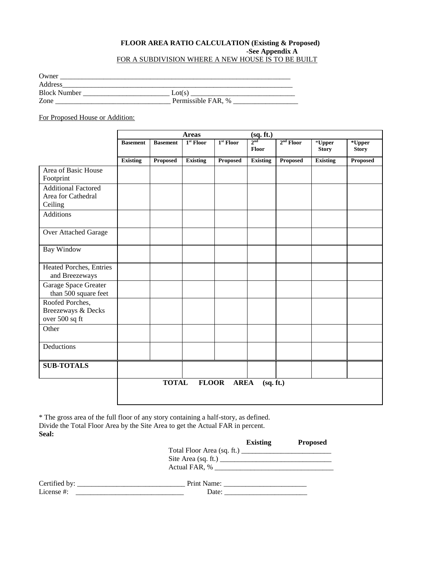#### **FLOOR AREA RATIO CALCULATION (Existing & Proposed) -See Appendix A** FOR A SUBDIVISION WHERE A NEW HOUSE IS TO BE BUILT

| Owner               |                    |
|---------------------|--------------------|
| Address             |                    |
| <b>Block Number</b> | Lot(s)             |
| Zone                | Permissible FAR, % |

For Proposed House or Addition:

|                                                             |                 |                 | <b>Areas</b>    |             | (sq. ft.)                |             |                           |                        |
|-------------------------------------------------------------|-----------------|-----------------|-----------------|-------------|--------------------------|-------------|---------------------------|------------------------|
|                                                             | <b>Basement</b> | <b>Basement</b> | $1st$ Floor     | $1st$ Floor | $2^{\text{nd}}$<br>Floor | $2nd$ Floor | $*$ Upper<br><b>Story</b> | *Upper<br><b>Story</b> |
|                                                             | <b>Existing</b> | Proposed        | <b>Existing</b> | Proposed    | <b>Existing</b>          | Proposed    | <b>Existing</b>           | Proposed               |
| Area of Basic House<br>Footprint                            |                 |                 |                 |             |                          |             |                           |                        |
| <b>Additional Factored</b><br>Area for Cathedral<br>Ceiling |                 |                 |                 |             |                          |             |                           |                        |
| <b>Additions</b>                                            |                 |                 |                 |             |                          |             |                           |                        |
| Over Attached Garage                                        |                 |                 |                 |             |                          |             |                           |                        |
| <b>Bay Window</b>                                           |                 |                 |                 |             |                          |             |                           |                        |
| Heated Porches, Entries<br>and Breezeways                   |                 |                 |                 |             |                          |             |                           |                        |
| Garage Space Greater<br>than 500 square feet                |                 |                 |                 |             |                          |             |                           |                        |
| Roofed Porches,<br>Breezeways & Decks<br>over 500 sq ft     |                 |                 |                 |             |                          |             |                           |                        |
| Other                                                       |                 |                 |                 |             |                          |             |                           |                        |
| Deductions                                                  |                 |                 |                 |             |                          |             |                           |                        |
| <b>SUB-TOTALS</b>                                           |                 |                 |                 |             |                          |             |                           |                        |
|                                                             |                 | <b>TOTAL</b>    | <b>FLOOR</b>    | <b>AREA</b> | (sq. ft.)                |             |                           |                        |

\* The gross area of the full floor of any story containing a half-story, as defined. Divide the Total Floor Area by the Site Area to get the Actual FAR in percent. **Seal:**

|            | <b>Existing</b>                                                                   | <b>Proposed</b> |
|------------|-----------------------------------------------------------------------------------|-----------------|
|            | Total Floor Area (sq. ft.) $\qquad \qquad$<br>Site Area (sq. ft.) $\qquad \qquad$ |                 |
| License #: | Date:                                                                             |                 |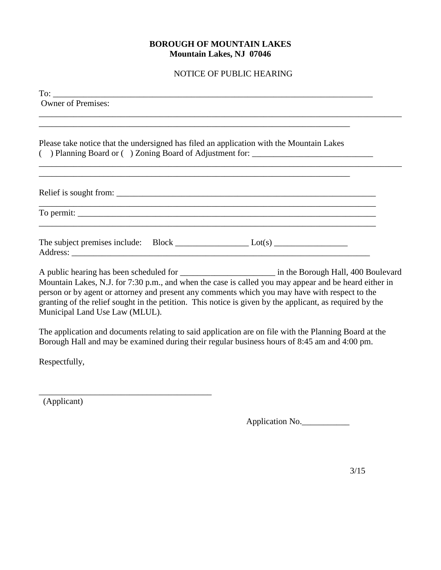## **BOROUGH OF MOUNTAIN LAKES Mountain Lakes, NJ 07046**

#### NOTICE OF PUBLIC HEARING

| <b>Owner of Premises:</b><br>,我们也不能在这里的时候,我们也不能在这里的时候,我们也不能会在这里的时候,我们也不能会在这里的时候,我们也不能会在这里的时候,我们也不能会在这里的时候,我们也不                                                                                                                                                                                                      |  |
|---------------------------------------------------------------------------------------------------------------------------------------------------------------------------------------------------------------------------------------------------------------------------------------------------------------------|--|
|                                                                                                                                                                                                                                                                                                                     |  |
| Please take notice that the undersigned has filed an application with the Mountain Lakes<br>() Planning Board or () Zoning Board of Adjustment for: ________________________                                                                                                                                        |  |
|                                                                                                                                                                                                                                                                                                                     |  |
| ,我们也不会有什么。""我们的人,我们也不会有什么?""我们的人,我们也不会有什么?""我们的人,我们也不会有什么?""我们的人,我们也不会有什么?""我们的人                                                                                                                                                                                                                                    |  |
|                                                                                                                                                                                                                                                                                                                     |  |
|                                                                                                                                                                                                                                                                                                                     |  |
| A public hearing has been scheduled for ___________________________ in the Borough Hall, 400 Boulevard                                                                                                                                                                                                              |  |
| Mountain Lakes, N.J. for 7:30 p.m., and when the case is called you may appear and be heard either in<br>person or by agent or attorney and present any comments which you may have with respect to the<br>granting of the relief sought in the petition. This notice is given by the applicant, as required by the |  |

Municipal Land Use Law (MLUL).

\_\_\_\_\_\_\_\_\_\_\_\_\_\_\_\_\_\_\_\_\_\_\_\_\_\_\_\_\_\_\_\_\_\_\_\_\_\_\_\_

The application and documents relating to said application are on file with the Planning Board at the Borough Hall and may be examined during their regular business hours of 8:45 am and 4:00 pm.

Respectfully,

(Applicant)

Application No.